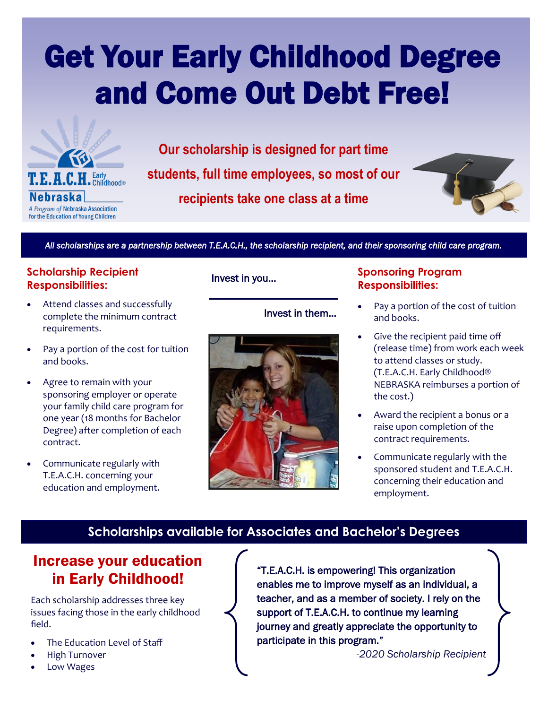# Get Your Early Childhood Degree and Come Out Debt Free!

Back Panel Heading



**Our scholarship is designed for part time students, full time employees, so most of our recipients take one class at a time**



*All scholarships are a partnership between T.E.A.C.H., the scholarship recipient, and their sponsoring child care program.* 

#### **Scholarship Recipient Responsibilities:**

- Attend classes and successfully complete the minimum contract requirements.
- Pay a portion of the cost for tuition and books.
- Agree to remain with your sponsoring employer or operate your family child care program for one year (18 months for Bachelor Degree) after completion of each contract.
- Communicate regularly with T.E.A.C.H. concerning your education and employment.

#### Invest in you…

l

#### Invest in them…



#### **Sponsoring Program Responsibilities:**

- Pay a portion of the cost of tuition and books.
- Give the recipient paid time off (release time) from work each week to attend classes or study. (T.E.A.C.H. Early Childhood® NEBRASKA reimburses a portion of the cost.)
- Award the recipient a bonus or a raise upon completion of the contract requirements.
- Communicate regularly with the sponsored student and T.E.A.C.H. concerning their education and employment.

## **Scholarships available for Associates and Bachelor's Degrees**

## Increase your education in Early Childhood!

Each scholarship addresses three key issues facing those in the early childhood field.

- The Education Level of Staff
- High Turnover
- Low Wages

"T.E.A.C.H. is empowering! This organization enables me to improve myself as an individual, a teacher, and as a member of society. I rely on the support of T.E.A.C.H. to continue my learning journey and greatly appreciate the opportunity to participate in this program."

*-2020 Scholarship Recipient*